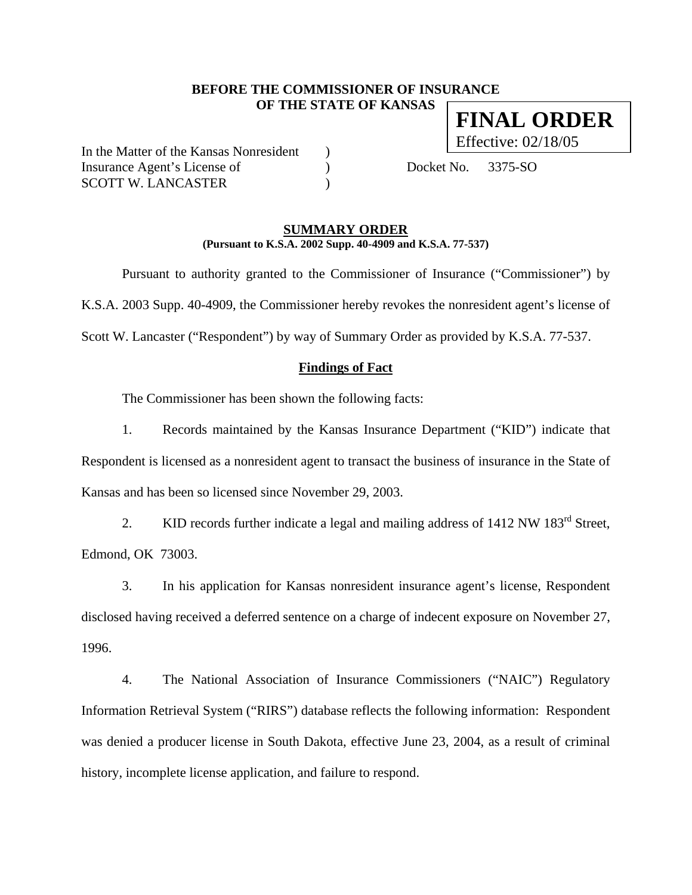## **BEFORE THE COMMISSIONER OF INSURANCE OF THE STATE OF KANSAS FINAL ORDER**

In the Matter of the Kansas Nonresident ) Insurance Agent's License of (a) Docket No. 3375-SO SCOTT W. LANCASTER  $\qquad \qquad$  )

Effective: 02/18/05

### **SUMMARY ORDER (Pursuant to K.S.A. 2002 Supp. 40-4909 and K.S.A. 77-537)**

 Pursuant to authority granted to the Commissioner of Insurance ("Commissioner") by K.S.A. 2003 Supp. 40-4909, the Commissioner hereby revokes the nonresident agent's license of Scott W. Lancaster ("Respondent") by way of Summary Order as provided by K.S.A. 77-537.

## **Findings of Fact**

The Commissioner has been shown the following facts:

1. Records maintained by the Kansas Insurance Department ("KID") indicate that Respondent is licensed as a nonresident agent to transact the business of insurance in the State of Kansas and has been so licensed since November 29, 2003.

2. KID records further indicate a legal and mailing address of 1412 NW 183<sup>rd</sup> Street, Edmond, OK 73003.

3. In his application for Kansas nonresident insurance agent's license, Respondent disclosed having received a deferred sentence on a charge of indecent exposure on November 27, 1996.

4. The National Association of Insurance Commissioners ("NAIC") Regulatory Information Retrieval System ("RIRS") database reflects the following information: Respondent was denied a producer license in South Dakota, effective June 23, 2004, as a result of criminal history, incomplete license application, and failure to respond.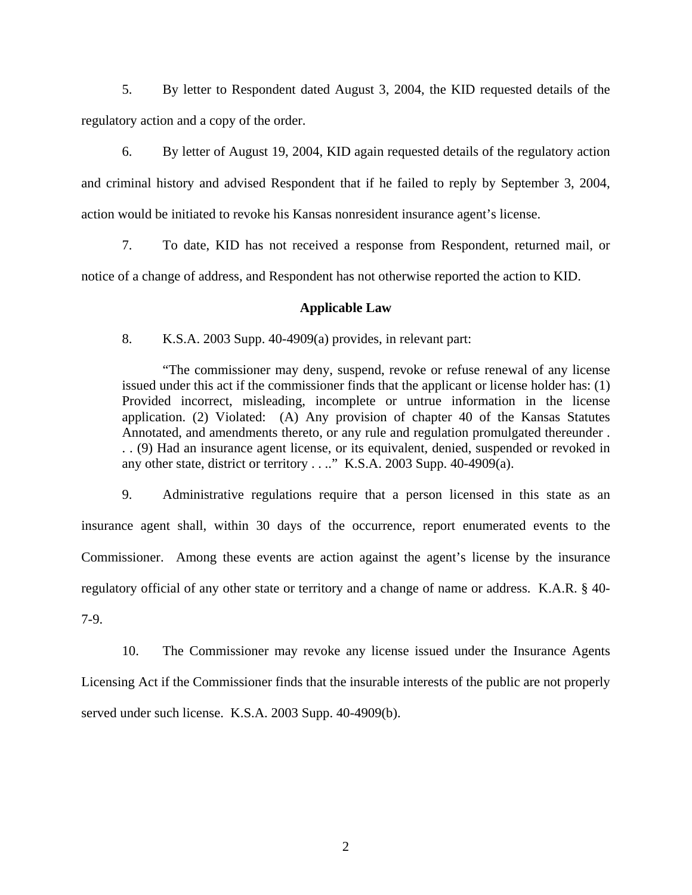5. By letter to Respondent dated August 3, 2004, the KID requested details of the regulatory action and a copy of the order.

6. By letter of August 19, 2004, KID again requested details of the regulatory action and criminal history and advised Respondent that if he failed to reply by September 3, 2004, action would be initiated to revoke his Kansas nonresident insurance agent's license.

7. To date, KID has not received a response from Respondent, returned mail, or notice of a change of address, and Respondent has not otherwise reported the action to KID.

### **Applicable Law**

8. K.S.A. 2003 Supp. 40-4909(a) provides, in relevant part:

"The commissioner may deny, suspend, revoke or refuse renewal of any license issued under this act if the commissioner finds that the applicant or license holder has: (1) Provided incorrect, misleading, incomplete or untrue information in the license application. (2) Violated: (A) Any provision of chapter 40 of the Kansas Statutes Annotated, and amendments thereto, or any rule and regulation promulgated thereunder . . . (9) Had an insurance agent license, or its equivalent, denied, suspended or revoked in any other state, district or territory . . .." K.S.A. 2003 Supp. 40-4909(a).

9. Administrative regulations require that a person licensed in this state as an insurance agent shall, within 30 days of the occurrence, report enumerated events to the Commissioner. Among these events are action against the agent's license by the insurance regulatory official of any other state or territory and a change of name or address. K.A.R. § 40- 7-9.

10. The Commissioner may revoke any license issued under the Insurance Agents Licensing Act if the Commissioner finds that the insurable interests of the public are not properly served under such license. K.S.A. 2003 Supp. 40-4909(b).

2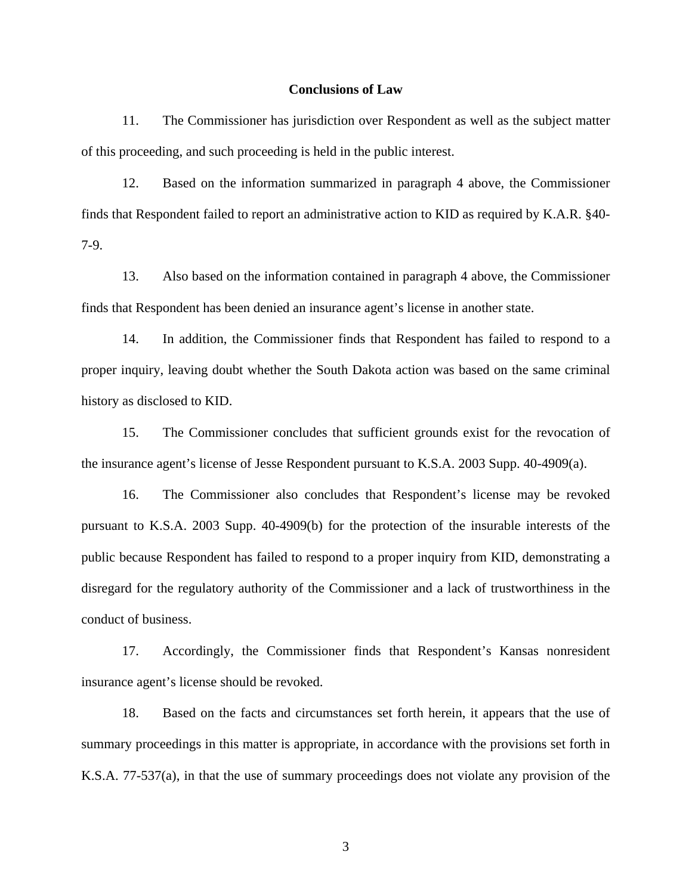#### **Conclusions of Law**

11. The Commissioner has jurisdiction over Respondent as well as the subject matter of this proceeding, and such proceeding is held in the public interest.

12. Based on the information summarized in paragraph 4 above, the Commissioner finds that Respondent failed to report an administrative action to KID as required by K.A.R. §40- 7-9.

13. Also based on the information contained in paragraph 4 above, the Commissioner finds that Respondent has been denied an insurance agent's license in another state.

14. In addition, the Commissioner finds that Respondent has failed to respond to a proper inquiry, leaving doubt whether the South Dakota action was based on the same criminal history as disclosed to KID.

15. The Commissioner concludes that sufficient grounds exist for the revocation of the insurance agent's license of Jesse Respondent pursuant to K.S.A. 2003 Supp. 40-4909(a).

16. The Commissioner also concludes that Respondent's license may be revoked pursuant to K.S.A. 2003 Supp. 40-4909(b) for the protection of the insurable interests of the public because Respondent has failed to respond to a proper inquiry from KID, demonstrating a disregard for the regulatory authority of the Commissioner and a lack of trustworthiness in the conduct of business.

17. Accordingly, the Commissioner finds that Respondent's Kansas nonresident insurance agent's license should be revoked.

18. Based on the facts and circumstances set forth herein, it appears that the use of summary proceedings in this matter is appropriate, in accordance with the provisions set forth in K.S.A. 77-537(a), in that the use of summary proceedings does not violate any provision of the

3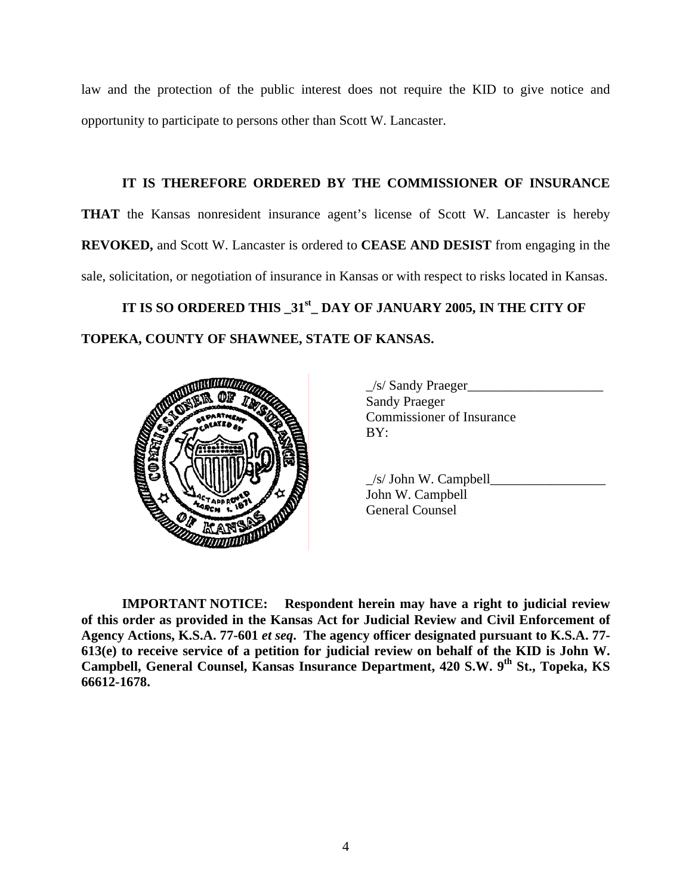law and the protection of the public interest does not require the KID to give notice and opportunity to participate to persons other than Scott W. Lancaster.

**IT IS THEREFORE ORDERED BY THE COMMISSIONER OF INSURANCE THAT** the Kansas nonresident insurance agent's license of Scott W. Lancaster is hereby **REVOKED,** and Scott W. Lancaster is ordered to **CEASE AND DESIST** from engaging in the sale, solicitation, or negotiation of insurance in Kansas or with respect to risks located in Kansas.

**IT IS SO ORDERED THIS \_31st\_ DAY OF JANUARY 2005, IN THE CITY OF TOPEKA, COUNTY OF SHAWNEE, STATE OF KANSAS.** 



 \_/s/ Sandy Praeger\_\_\_\_\_\_\_\_\_\_\_\_\_\_\_\_\_\_\_\_ Sandy Praeger Commissioner of Insurance

 $\angle$ s/ John W. Campbell John W. Campbell General Counsel

**IMPORTANT NOTICE: Respondent herein may have a right to judicial review of this order as provided in the Kansas Act for Judicial Review and Civil Enforcement of Agency Actions, K.S.A. 77-601** *et seq***. The agency officer designated pursuant to K.S.A. 77- 613(e) to receive service of a petition for judicial review on behalf of the KID is John W.**  Campbell, General Counsel, Kansas Insurance Department, 420 S.W. 9<sup>th</sup> St., Topeka, KS **66612-1678.**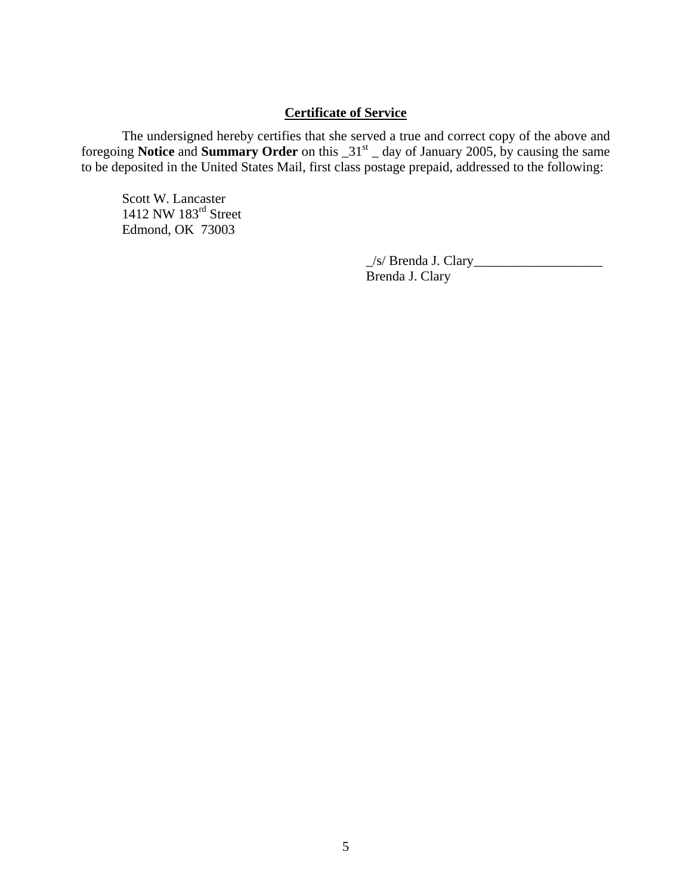# **Certificate of Service**

 The undersigned hereby certifies that she served a true and correct copy of the above and foregoing **Notice** and **Summary Order** on this \_31st \_ day of January 2005, by causing the same to be deposited in the United States Mail, first class postage prepaid, addressed to the following:

Scott W. Lancaster 1412 NW 183<sup>rd</sup> Street Edmond, OK 73003

> \_/s/ Brenda J. Clary\_\_\_\_\_\_\_\_\_\_\_\_\_\_\_\_\_\_\_ Brenda J. Clary